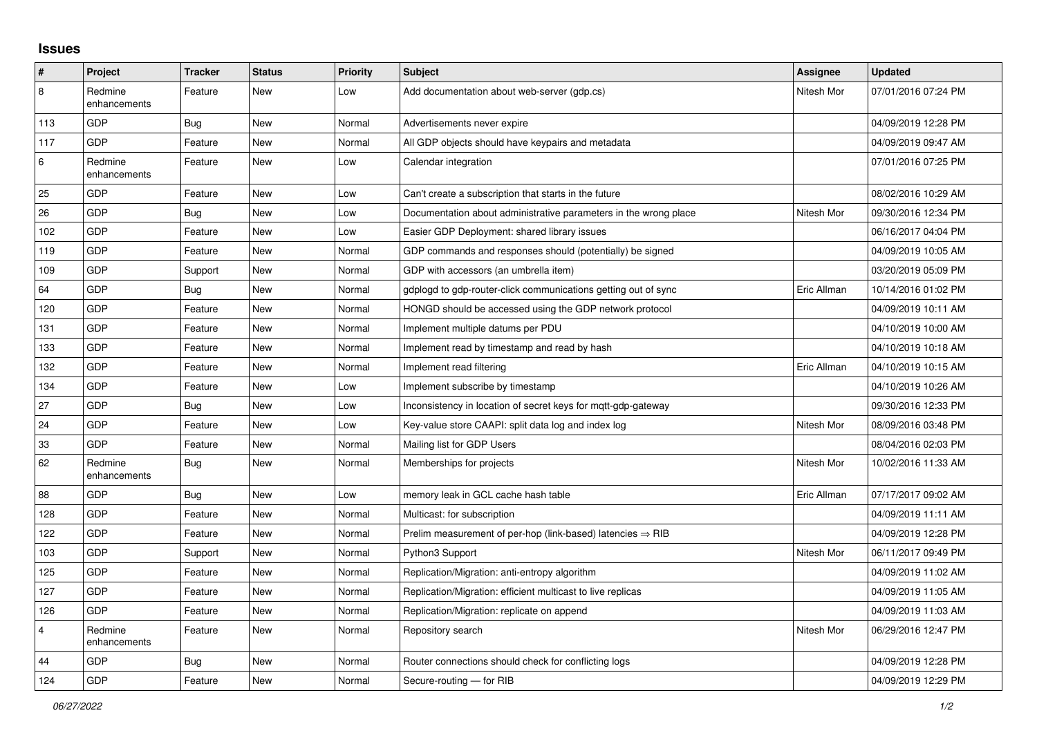## **Issues**

| #              | Project                 | <b>Tracker</b> | <b>Status</b> | <b>Priority</b> | <b>Subject</b>                                                         | Assignee    | <b>Updated</b>      |
|----------------|-------------------------|----------------|---------------|-----------------|------------------------------------------------------------------------|-------------|---------------------|
| 8              | Redmine<br>enhancements | Feature        | <b>New</b>    | Low             | Add documentation about web-server (gdp.cs)                            | Nitesh Mor  | 07/01/2016 07:24 PM |
| 113            | <b>GDP</b>              | Bug            | New           | Normal          | Advertisements never expire                                            |             | 04/09/2019 12:28 PM |
| 117            | GDP                     | Feature        | <b>New</b>    | Normal          | All GDP objects should have keypairs and metadata                      |             | 04/09/2019 09:47 AM |
| 6              | Redmine<br>enhancements | Feature        | <b>New</b>    | Low             | Calendar integration                                                   |             | 07/01/2016 07:25 PM |
| 25             | GDP                     | Feature        | <b>New</b>    | Low             | Can't create a subscription that starts in the future                  |             | 08/02/2016 10:29 AM |
| 26             | GDP                     | Bug            | <b>New</b>    | Low             | Documentation about administrative parameters in the wrong place       | Nitesh Mor  | 09/30/2016 12:34 PM |
| 102            | <b>GDP</b>              | Feature        | <b>New</b>    | Low             | Easier GDP Deployment: shared library issues                           |             | 06/16/2017 04:04 PM |
| 119            | GDP                     | Feature        | <b>New</b>    | Normal          | GDP commands and responses should (potentially) be signed              |             | 04/09/2019 10:05 AM |
| 109            | GDP                     | Support        | New           | Normal          | GDP with accessors (an umbrella item)                                  |             | 03/20/2019 05:09 PM |
| 64             | <b>GDP</b>              | Bug            | <b>New</b>    | Normal          | gdplogd to gdp-router-click communications getting out of sync         | Eric Allman | 10/14/2016 01:02 PM |
| 120            | GDP                     | Feature        | <b>New</b>    | Normal          | HONGD should be accessed using the GDP network protocol                |             | 04/09/2019 10:11 AM |
| 131            | GDP                     | Feature        | <b>New</b>    | Normal          | Implement multiple datums per PDU                                      |             | 04/10/2019 10:00 AM |
| 133            | GDP                     | Feature        | <b>New</b>    | Normal          | Implement read by timestamp and read by hash                           |             | 04/10/2019 10:18 AM |
| 132            | GDP                     | Feature        | <b>New</b>    | Normal          | Implement read filtering                                               | Eric Allman | 04/10/2019 10:15 AM |
| 134            | GDP                     | Feature        | <b>New</b>    | Low             | Implement subscribe by timestamp                                       |             | 04/10/2019 10:26 AM |
| 27             | GDP                     | <b>Bug</b>     | New           | Low             | Inconsistency in location of secret keys for mqtt-gdp-gateway          |             | 09/30/2016 12:33 PM |
| 24             | <b>GDP</b>              | Feature        | <b>New</b>    | Low             | Key-value store CAAPI: split data log and index log                    | Nitesh Mor  | 08/09/2016 03:48 PM |
| 33             | GDP                     | Feature        | <b>New</b>    | Normal          | Mailing list for GDP Users                                             |             | 08/04/2016 02:03 PM |
| 62             | Redmine<br>enhancements | Bug            | New           | Normal          | Memberships for projects                                               | Nitesh Mor  | 10/02/2016 11:33 AM |
| 88             | GDP                     | Bug            | <b>New</b>    | Low             | memory leak in GCL cache hash table                                    | Eric Allman | 07/17/2017 09:02 AM |
| 128            | GDP                     | Feature        | <b>New</b>    | Normal          | Multicast: for subscription                                            |             | 04/09/2019 11:11 AM |
| 122            | <b>GDP</b>              | Feature        | <b>New</b>    | Normal          | Prelim measurement of per-hop (link-based) latencies $\Rightarrow$ RIB |             | 04/09/2019 12:28 PM |
| 103            | <b>GDP</b>              | Support        | <b>New</b>    | Normal          | Python3 Support                                                        | Nitesh Mor  | 06/11/2017 09:49 PM |
| 125            | GDP                     | Feature        | New           | Normal          | Replication/Migration: anti-entropy algorithm                          |             | 04/09/2019 11:02 AM |
| 127            | <b>GDP</b>              | Feature        | <b>New</b>    | Normal          | Replication/Migration: efficient multicast to live replicas            |             | 04/09/2019 11:05 AM |
| 126            | GDP                     | Feature        | <b>New</b>    | Normal          | Replication/Migration: replicate on append                             |             | 04/09/2019 11:03 AM |
| $\overline{4}$ | Redmine<br>enhancements | Feature        | <b>New</b>    | Normal          | Repository search                                                      | Nitesh Mor  | 06/29/2016 12:47 PM |
| 44             | GDP                     | <b>Bug</b>     | <b>New</b>    | Normal          | Router connections should check for conflicting logs                   |             | 04/09/2019 12:28 PM |
| 124            | GDP                     | Feature        | New           | Normal          | Secure-routing - for RIB                                               |             | 04/09/2019 12:29 PM |